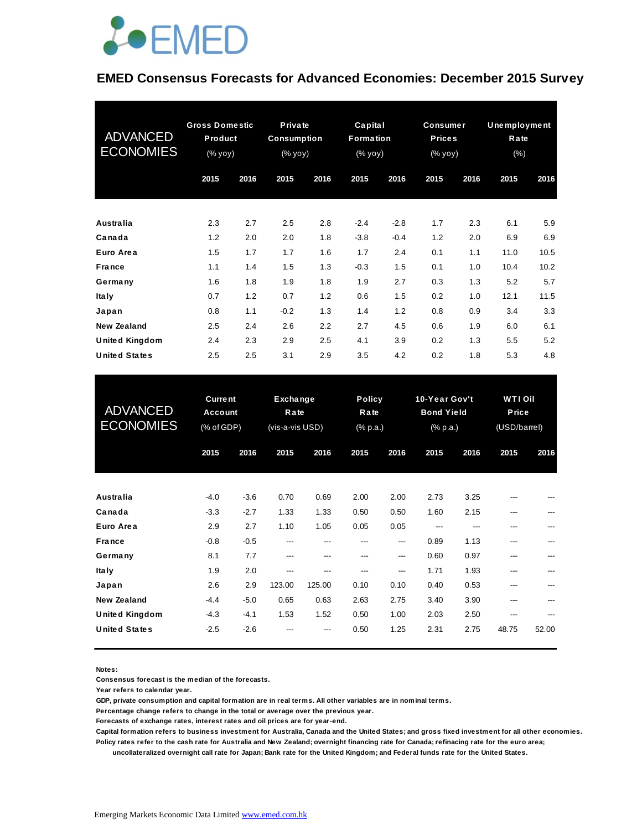

#### **EMED Consensus Forecasts for Advanced Economies: December 2015 Survey**

| <b>ADVANCED</b><br><b>ECONOMIES</b> | <b>Gross Domestic</b><br>Product<br>(% yoy) |      | Private<br><b>Consumption</b><br>(% yoy) |      | Capital<br>Formation<br>(% yoy) |        | <b>Consumer</b><br><b>Prices</b><br>(% уоў) |      | <b>Unemployment</b><br>Rate<br>(% ) |      |
|-------------------------------------|---------------------------------------------|------|------------------------------------------|------|---------------------------------|--------|---------------------------------------------|------|-------------------------------------|------|
|                                     | 2015                                        | 2016 | 2015                                     | 2016 | 2015                            | 2016   | 2015                                        | 2016 | 2015                                | 2016 |
| Australia                           | 2.3                                         | 2.7  | 2.5                                      | 2.8  | $-2.4$                          | $-2.8$ | 1.7                                         | 2.3  | 6.1                                 | 5.9  |
| Canada                              | 1.2                                         | 2.0  | 2.0                                      | 1.8  | $-3.8$                          | $-0.4$ | 1.2                                         | 2.0  | 6.9                                 | 6.9  |
| Euro Area                           | 1.5                                         | 1.7  | 1.7                                      | 1.6  | 1.7                             | 2.4    | 0.1                                         | 1.1  | 11.0                                | 10.5 |
| France                              | 1.1                                         | 1.4  | 1.5                                      | 1.3  | $-0.3$                          | 1.5    | 0.1                                         | 1.0  | 10.4                                | 10.2 |
| Germany                             | 1.6                                         | 1.8  | 1.9                                      | 1.8  | 1.9                             | 2.7    | 0.3                                         | 1.3  | 5.2                                 | 5.7  |
| <b>Italy</b>                        | 0.7                                         | 1.2  | 0.7                                      | 1.2  | 0.6                             | 1.5    | 0.2                                         | 1.0  | 12.1                                | 11.5 |
| Japan                               | 0.8                                         | 1.1  | $-0.2$                                   | 1.3  | 1.4                             | 1.2    | 0.8                                         | 0.9  | 3.4                                 | 3.3  |
| <b>New Zealand</b>                  | 2.5                                         | 2.4  | 2.6                                      | 2.2  | 2.7                             | 4.5    | 0.6                                         | 1.9  | 6.0                                 | 6.1  |
| <b>United Kingdom</b>               | 2.4                                         | 2.3  | 2.9                                      | 2.5  | 4.1                             | 3.9    | 0.2                                         | 1.3  | 5.5                                 | 5.2  |
| <b>United States</b>                | 2.5                                         | 2.5  | 3.1                                      | 2.9  | 3.5                             | 4.2    | 0.2                                         | 1.8  | 5.3                                 | 4.8  |

| <b>United States</b>                | 2.5    | 2.5                                     | 3.1    | 2.9                                 | 3.5  | 4.2                               | 0.2  | 1.8                                            | 5.3   | 4.8                                     |  |
|-------------------------------------|--------|-----------------------------------------|--------|-------------------------------------|------|-----------------------------------|------|------------------------------------------------|-------|-----------------------------------------|--|
| <b>ADVANCED</b><br><b>ECONOMIES</b> |        | <b>Current</b><br>Account<br>(% of GDP) |        | Exchange<br>Rate<br>(vis-a-vis USD) |      | <b>Policy</b><br>Rate<br>(% p.a.) |      | 10-Year Gov't<br><b>Bond Yield</b><br>(% p.a.) |       | <b>WTI Oil</b><br>Price<br>(USD/barrel) |  |
|                                     | 2015   | 2016                                    | 2015   | 2016                                | 2015 | 2016                              | 2015 | 2016                                           | 2015  | 2016                                    |  |
| <b>Australia</b>                    | $-4.0$ | $-3.6$                                  | 0.70   | 0.69                                | 2.00 | 2.00                              | 2.73 | 3.25                                           | ---   |                                         |  |
| Canada                              | $-3.3$ | $-2.7$                                  | 1.33   | 1.33                                | 0.50 | 0.50                              | 1.60 | 2.15                                           | ---   |                                         |  |
| Euro Area                           | 2.9    | 2.7                                     | 1.10   | 1.05                                | 0.05 | 0.05                              | ---  | ---                                            | ---   | ---                                     |  |
| <b>France</b>                       | $-0.8$ | $-0.5$                                  | ---    | ---                                 | ---  | ---                               | 0.89 | 1.13                                           | ---   |                                         |  |
| Germany                             | 8.1    | 7.7                                     | ---    | ---                                 | ---  | $---$                             | 0.60 | 0.97                                           | ---   |                                         |  |
| <b>Italy</b>                        | 1.9    | 2.0                                     | ---    | ---                                 | ---  | ---                               | 1.71 | 1.93                                           | ---   | ---                                     |  |
| Japan                               | 2.6    | 2.9                                     | 123.00 | 125.00                              | 0.10 | 0.10                              | 0.40 | 0.53                                           | ---   | ---                                     |  |
| <b>New Zealand</b>                  | $-4.4$ | $-5.0$                                  | 0.65   | 0.63                                | 2.63 | 2.75                              | 3.40 | 3.90                                           | ---   | ---                                     |  |
| <b>United Kingdom</b>               | $-4.3$ | $-4.1$                                  | 1.53   | 1.52                                | 0.50 | 1.00                              | 2.03 | 2.50                                           | ---   |                                         |  |
| <b>United States</b>                | $-2.5$ | $-2.6$                                  |        | ---                                 | 0.50 | 1.25                              | 2.31 | 2.75                                           | 48.75 | 52.00                                   |  |

**Notes:** 

**Consensus forecast is the median of the forecasts.**

**Year refers to calendar year.**

**GDP, private consumption and capital formation are in real terms. All other variables are in nominal terms.**

**Percentage change refers to change in the total or average over the previous year.**

**Forecasts of exchange rates, interest rates and oil prices are for year-end.**

**Capital formation refers to business investment for Australia, Canada and the United States; and gross fixed investment for all other economies. Policy rates refer to the cash rate for Australia and New Zealand; overnight financing rate for Canada; refinacing rate for the euro area;** 

 **uncollateralized overnight call rate for Japan; Bank rate for the United Kingdom; and Federal funds rate for the United States.**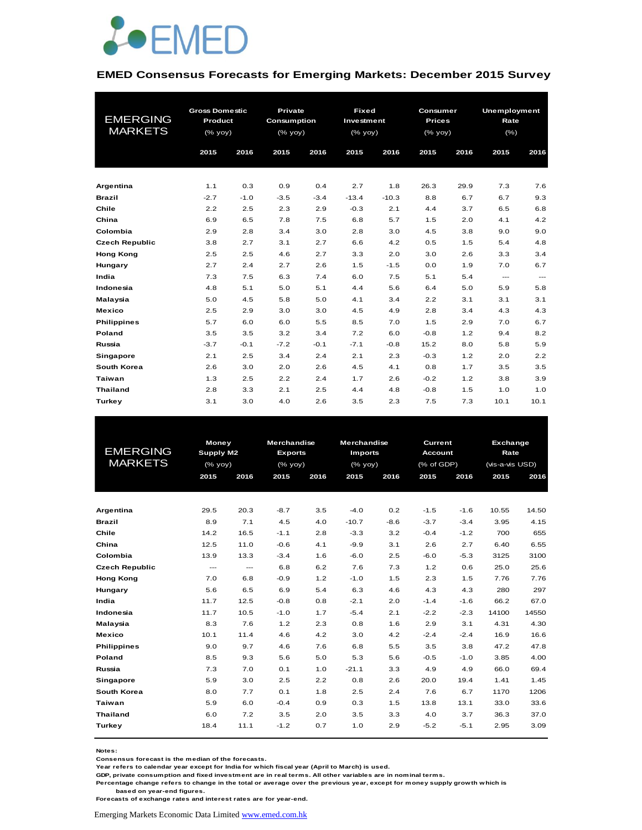

#### **EMED Consensus Forecasts for Emerging Markets: December 2015 Survey**

|                       | <b>Gross Domestic</b> |        | Private     |        | <b>Fixed</b>                                                       |         | Consumer                                                           |      | Unemployment |      |
|-----------------------|-----------------------|--------|-------------|--------|--------------------------------------------------------------------|---------|--------------------------------------------------------------------|------|--------------|------|
| <b>EMERGING</b>       | Product               |        | Consumption |        | Investment                                                         |         | <b>Prices</b>                                                      |      | Rate         |      |
| <b>MARKETS</b>        | $(%$ (% yoy)          |        | $(%$ yoy)   |        | $(% \mathsf{Y}^{\prime }\mathsf{Y}^{\prime }\mathsf{Y}^{\prime })$ |         | $(% \mathsf{Y}^{\prime }\mathsf{Y}^{\prime }\mathsf{Y}^{\prime })$ |      | $(\% )$      |      |
|                       | 2015                  | 2016   | 2015        | 2016   | 2015                                                               | 2016    | 2015                                                               | 2016 | 2015         | 2016 |
|                       |                       |        |             |        |                                                                    |         |                                                                    |      |              |      |
|                       |                       |        |             |        |                                                                    |         |                                                                    |      |              |      |
| Argentina             | 1.1                   | 0.3    | 0.9         | 0.4    | 2.7                                                                | 1.8     | 26.3                                                               | 29.9 | 7.3          | 7.6  |
| <b>Brazil</b>         | $-2.7$                | $-1.0$ | $-3.5$      | $-3.4$ | $-13.4$                                                            | $-10.3$ | 8.8                                                                | 6.7  | 6.7          | 9.3  |
| Chile                 | 2.2                   | 2.5    | 2.3         | 2.9    | $-0.3$                                                             | 2.1     | 4.4                                                                | 3.7  | 6.5          | 6.8  |
| China                 | 6.9                   | 6.5    | 7.8         | 7.5    | 6.8                                                                | 5.7     | 1.5                                                                | 2.0  | 4.1          | 4.2  |
| Colombia              | 2.9                   | 2.8    | 3.4         | 3.0    | 2.8                                                                | 3.0     | 4.5                                                                | 3.8  | 9.0          | 9.0  |
| <b>Czech Republic</b> | 3.8                   | 2.7    | 3.1         | 2.7    | 6.6                                                                | 4.2     | 0.5                                                                | 1.5  | 5.4          | 4.8  |
| <b>Hong Kong</b>      | 2.5                   | 2.5    | 4.6         | 2.7    | 3.3                                                                | 2.0     | 3.0                                                                | 2.6  | 3.3          | 3.4  |
| Hungary               | 2.7                   | 2.4    | 2.7         | 2.6    | 1.5                                                                | $-1.5$  | 0.0                                                                | 1.9  | 7.0          | 6.7  |
| India                 | 7.3                   | 7.5    | 6.3         | 7.4    | 6.0                                                                | 7.5     | 5.1                                                                | 5.4  | ---          | ---  |
| Indonesia             | 4.8                   | 5.1    | 5.0         | 5.1    | 4.4                                                                | 5.6     | 6.4                                                                | 5.0  | 5.9          | 5.8  |
| Malaysia              | 5.0                   | 4.5    | 5.8         | 5.0    | 4.1                                                                | 3.4     | 2.2                                                                | 3.1  | 3.1          | 3.1  |
| <b>Mexico</b>         | 2.5                   | 2.9    | 3.0         | 3.0    | 4.5                                                                | 4.9     | 2.8                                                                | 3.4  | 4.3          | 4.3  |
| <b>Philippines</b>    | 5.7                   | 6.0    | 6.0         | 5.5    | 8.5                                                                | 7.0     | 1.5                                                                | 2.9  | 7.0          | 6.7  |
| Poland                | 3.5                   | 3.5    | 3.2         | 3.4    | 7.2                                                                | 6.0     | $-0.8$                                                             | 1.2  | 9.4          | 8.2  |
| Russia                | $-3.7$                | $-0.1$ | $-7.2$      | $-0.1$ | $-7.1$                                                             | $-0.8$  | 15.2                                                               | 8.0  | 5.8          | 5.9  |
| Singapore             | 2.1                   | 2.5    | 3.4         | 2.4    | 2.1                                                                | 2.3     | $-0.3$                                                             | 1.2  | 2.0          | 2.2  |
| South Korea           | 2.6                   | 3.0    | 2.0         | 2.6    | 4.5                                                                | 4.1     | 0.8                                                                | 1.7  | 3.5          | 3.5  |
| Taiwan                | 1.3                   | 2.5    | 2.2         | 2.4    | 1.7                                                                | 2.6     | $-0.2$                                                             | 1.2  | 3.8          | 3.9  |
| <b>Thailand</b>       | 2.8                   | 3.3    | 2.1         | 2.5    | 4.4                                                                | 4.8     | $-0.8$                                                             | 1.5  | 1.0          | 1.0  |
| Turkey                | 3.1                   | 3.0    | 4.0         | 2.6    | 3.5                                                                | 2.3     | 7.5                                                                | 7.3  | 10.1         | 10.1 |

| <b>EMERGING</b><br><b>MARKETS</b> |      | <b>Money</b><br><b>Supply M2</b><br>$(%$ (% yoy) |        | <b>Merchandise</b><br><b>Exports</b><br>$(%$ $\gamma$ <sup><math>\alpha</math></sup> yoy $)$ | <b>Merchandise</b><br><b>Imports</b><br>$(%$ $\gamma$ yoy) |        | Current<br><b>Account</b><br>(% of GDP) |        |       | Exchange<br>Rate<br>(vis-a-vis USD) |  |
|-----------------------------------|------|--------------------------------------------------|--------|----------------------------------------------------------------------------------------------|------------------------------------------------------------|--------|-----------------------------------------|--------|-------|-------------------------------------|--|
|                                   | 2015 | 2016                                             | 2015   | 2016                                                                                         | 2015                                                       | 2016   | 2015                                    | 2016   | 2015  | 2016                                |  |
|                                   |      |                                                  |        |                                                                                              |                                                            |        |                                         |        |       |                                     |  |
| Argentina                         | 29.5 | 20.3                                             | $-8.7$ | 3.5                                                                                          | $-4.0$                                                     | 0.2    | $-1.5$                                  | $-1.6$ | 10.55 | 14.50                               |  |
| <b>Brazil</b>                     | 8.9  | 7.1                                              | 4.5    | 4.0                                                                                          | $-10.7$                                                    | $-8.6$ | $-3.7$                                  | $-3.4$ | 3.95  | 4.15                                |  |
| Chile                             | 14.2 | 16.5                                             | $-1.1$ | 2.8                                                                                          | $-3.3$                                                     | 3.2    | $-0.4$                                  | $-1.2$ | 700   | 655                                 |  |
| China                             | 12.5 | 11.0                                             | $-0.6$ | 4.1                                                                                          | $-9.9$                                                     | 3.1    | 2.6                                     | 2.7    | 6.40  | 6.55                                |  |
| Colombia                          | 13.9 | 13.3                                             | $-3.4$ | 1.6                                                                                          | $-6.0$                                                     | 2.5    | $-6.0$                                  | $-5.3$ | 3125  | 3100                                |  |
| <b>Czech Republic</b>             | ---  | $\hspace{0.05cm}---$                             | 6.8    | 6.2                                                                                          | 7.6                                                        | 7.3    | 1.2                                     | 0.6    | 25.0  | 25.6                                |  |
| <b>Hong Kong</b>                  | 7.0  | 6.8                                              | $-0.9$ | 1.2                                                                                          | $-1.0$                                                     | 1.5    | 2.3                                     | 1.5    | 7.76  | 7.76                                |  |
| Hungary                           | 5.6  | 6.5                                              | 6.9    | 5.4                                                                                          | 6.3                                                        | 4.6    | 4.3                                     | 4.3    | 280   | 297                                 |  |
| India                             | 11.7 | 12.5                                             | $-0.8$ | 0.8                                                                                          | $-2.1$                                                     | 2.0    | $-1.4$                                  | $-1.6$ | 66.2  | 67.0                                |  |
| Indonesia                         | 11.7 | 10.5                                             | $-1.0$ | 1.7                                                                                          | $-5.4$                                                     | 2.1    | $-2.2$                                  | $-2.3$ | 14100 | 14550                               |  |
| Malaysia                          | 8.3  | 7.6                                              | 1.2    | 2.3                                                                                          | 0.8                                                        | 1.6    | 2.9                                     | 3.1    | 4.31  | 4.30                                |  |
| Mexico                            | 10.1 | 11.4                                             | 4.6    | 4.2                                                                                          | 3.0                                                        | 4.2    | $-2.4$                                  | $-2.4$ | 16.9  | 16.6                                |  |
| <b>Philippines</b>                | 9.0  | 9.7                                              | 4.6    | 7.6                                                                                          | 6.8                                                        | 5.5    | 3.5                                     | 3.8    | 47.2  | 47.8                                |  |
| Poland                            | 8.5  | 9.3                                              | 5.6    | 5.0                                                                                          | 5.3                                                        | 5.6    | $-0.5$                                  | $-1.0$ | 3.85  | 4.00                                |  |
| Russia                            | 7.3  | 7.0                                              | 0.1    | 1.0                                                                                          | $-21.1$                                                    | 3.3    | 4.9                                     | 4.9    | 66.0  | 69.4                                |  |
| Singapore                         | 5.9  | 3.0                                              | 2.5    | 2.2                                                                                          | 0.8                                                        | 2.6    | 20.0                                    | 19.4   | 1.41  | 1.45                                |  |
| South Korea                       | 8.0  | 7.7                                              | 0.1    | 1.8                                                                                          | 2.5                                                        | 2.4    | 7.6                                     | 6.7    | 1170  | 1206                                |  |
| Taiwan                            | 5.9  | 6.0                                              | $-0.4$ | 0.9                                                                                          | 0.3                                                        | 1.5    | 13.8                                    | 13.1   | 33.0  | 33.6                                |  |
| <b>Thailand</b>                   | 6.0  | 7.2                                              | 3.5    | 2.0                                                                                          | 3.5                                                        | 3.3    | 4.0                                     | 3.7    | 36.3  | 37.0                                |  |
| Turkey                            | 18.4 | 11.1                                             | $-1.2$ | 0.7                                                                                          | 1.0                                                        | 2.9    | $-5.2$                                  | $-5.1$ | 2.95  | 3.09                                |  |

**Notes:** 

**Consensus forecast is the median of the forecasts.**

**Year refers to calendar year except for India for which fiscal year (April to March) is used.**

**GDP, private consumption and fixed investment are in real terms. All other variables are in nominal terms.**

**Percentage change refers to change in the total or average over the previous year, except for money supply growth which is based on year-end figures.**

**Forecasts of exchange rates and interest rates are for year-end.**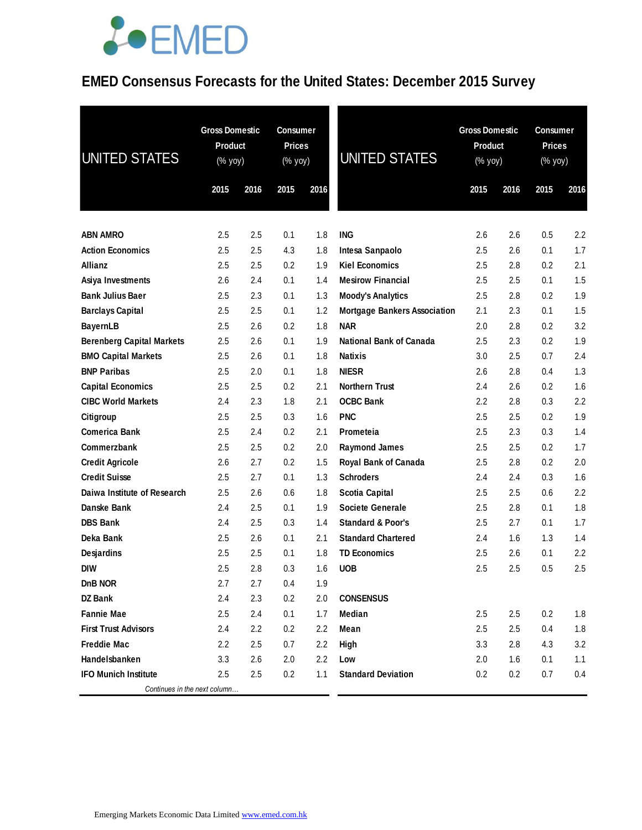#### **EMED Consensus Forecasts for the United States: December 2015 Survey**

| UNITED STATES                                       | <b>Gross Domestic</b><br><b>Product</b><br>(% yoy)<br>2016<br>2015 |            | <b>Consumer</b><br><b>Prices</b><br>(% yoy)<br>2015 | 2016       | UNITED STATES                                     | <b>Gross Domestic</b><br>Product<br>$(% \mathsf{Y}^{\prime }\mathsf{Y}^{\prime })$ (% $\mathsf{Y}^{\prime }\mathsf{Y}^{\prime }\mathsf{Y}^{\prime })$<br>2015 | 2016       | <b>Consumer</b><br><b>Prices</b><br>(% yoy)<br>2015 | 2016       |
|-----------------------------------------------------|--------------------------------------------------------------------|------------|-----------------------------------------------------|------------|---------------------------------------------------|---------------------------------------------------------------------------------------------------------------------------------------------------------------|------------|-----------------------------------------------------|------------|
|                                                     |                                                                    |            |                                                     |            |                                                   |                                                                                                                                                               |            |                                                     |            |
|                                                     |                                                                    |            |                                                     |            |                                                   |                                                                                                                                                               |            |                                                     |            |
| <b>ABN AMRO</b>                                     | 2.5                                                                | 2.5        | 0.1                                                 | 1.8        | <b>ING</b>                                        | 2.6                                                                                                                                                           | 2.6        | 0.5                                                 | 2.2        |
| <b>Action Economics</b>                             | 2.5                                                                | 2.5        | 4.3                                                 | 1.8        | Intesa Sanpaolo                                   | 2.5                                                                                                                                                           | 2.6        | 0.1                                                 | 1.7        |
| Allianz                                             | 2.5                                                                | 2.5        | 0.2                                                 | 1.9        | <b>Kiel Economics</b>                             | 2.5                                                                                                                                                           | 2.8        | 0.2                                                 | 2.1<br>1.5 |
| Asiya Investments                                   | 2.6                                                                | 2.4        | 0.1                                                 | 1.4        | <b>Mesirow Financial</b>                          | 2.5                                                                                                                                                           | 2.5        | 0.1                                                 |            |
| <b>Bank Julius Baer</b>                             | 2.5<br>2.5                                                         | 2.3<br>2.5 | 0.1                                                 | 1.3<br>1.2 | <b>Moody's Analytics</b>                          | 2.5<br>2.1                                                                                                                                                    | 2.8<br>2.3 | 0.2                                                 | 1.9<br>1.5 |
| <b>Barclays Capital</b>                             | 2.5                                                                |            | 0.1<br>0.2                                          | 1.8        | <b>Mortgage Bankers Association</b><br><b>NAR</b> |                                                                                                                                                               | 2.8        | 0.1<br>0.2                                          | 3.2        |
| <b>BayernLB</b><br><b>Berenberg Capital Markets</b> | 2.5                                                                | 2.6<br>2.6 | 0.1                                                 | 1.9        | <b>National Bank of Canada</b>                    | 2.0<br>2.5                                                                                                                                                    | 2.3        | 0.2                                                 | 1.9        |
|                                                     | 2.5                                                                | 2.6        | 0.1                                                 | 1.8        | <b>Natixis</b>                                    | 3.0                                                                                                                                                           | 2.5        | 0.7                                                 | 2.4        |
| <b>BMO Capital Markets</b><br><b>BNP Paribas</b>    | 2.5                                                                | 2.0        | 0.1                                                 | 1.8        | <b>NIESR</b>                                      | 2.6                                                                                                                                                           | 2.8        | 0.4                                                 | 1.3        |
| <b>Capital Economics</b>                            | 2.5                                                                | 2.5        | 0.2                                                 | 2.1        | <b>Northern Trust</b>                             | 2.4                                                                                                                                                           | 2.6        | 0.2                                                 | 1.6        |
| <b>CIBC World Markets</b>                           | 2.4                                                                | 2.3        | 1.8                                                 | 2.1        | <b>OCBC Bank</b>                                  | $2.2\,$                                                                                                                                                       | 2.8        | 0.3                                                 | 2.2        |
| Citigroup                                           | 2.5                                                                | 2.5        | 0.3                                                 | 1.6        | <b>PNC</b>                                        | 2.5                                                                                                                                                           | 2.5        | 0.2                                                 | 1.9        |
| <b>Comerica Bank</b>                                | 2.5                                                                | 2.4        | 0.2                                                 | 2.1        | Prometeia                                         | 2.5                                                                                                                                                           | 2.3        | 0.3                                                 | 1.4        |
| Commerzbank                                         | 2.5                                                                | 2.5        | 0.2                                                 | 2.0        | <b>Raymond James</b>                              | 2.5                                                                                                                                                           | 2.5        | 0.2                                                 | 1.7        |
| <b>Credit Agricole</b>                              | 2.6                                                                | 2.7        | 0.2                                                 | 1.5        | Royal Bank of Canada                              | 2.5                                                                                                                                                           | 2.8        | 0.2                                                 | 2.0        |
| <b>Credit Suisse</b>                                | 2.5                                                                | 2.7        | 0.1                                                 | 1.3        | <b>Schroders</b>                                  | 2.4                                                                                                                                                           | 2.4        | 0.3                                                 | 1.6        |
| Daiwa Institute of Research                         | 2.5                                                                | 2.6        | 0.6                                                 | 1.8        | <b>Scotia Capital</b>                             | 2.5                                                                                                                                                           | 2.5        | 0.6                                                 | 2.2        |
| Danske Bank                                         | 2.4                                                                | 2.5        | 0.1                                                 | 1.9        | <b>Societe Generale</b>                           | 2.5                                                                                                                                                           | 2.8        | 0.1                                                 | 1.8        |
| <b>DBS Bank</b>                                     | 2.4                                                                | 2.5        | 0.3                                                 | 1.4        | <b>Standard &amp; Poor's</b>                      | 2.5                                                                                                                                                           | 2.7        | 0.1                                                 | 1.7        |
| Deka Bank                                           | 2.5                                                                | 2.6        | 0.1                                                 | 2.1        | <b>Standard Chartered</b>                         | 2.4                                                                                                                                                           | 1.6        | 1.3                                                 | 1.4        |
| Desjardins                                          | 2.5                                                                | 2.5        | 0.1                                                 | 1.8        | <b>TD Economics</b>                               | 2.5                                                                                                                                                           | 2.6        | 0.1                                                 | 2.2        |
| <b>DIW</b>                                          | 2.5                                                                | 2.8        | 0.3                                                 | 1.6        | <b>UOB</b>                                        | 2.5                                                                                                                                                           | 2.5        | 0.5                                                 | 2.5        |
| DnB NOR                                             | 2.7                                                                | 2.7        | 0.4                                                 | 1.9        |                                                   |                                                                                                                                                               |            |                                                     |            |
| DZ Bank                                             | 2.4                                                                | 2.3        | 0.2                                                 | 2.0        | <b>CONSENSUS</b>                                  |                                                                                                                                                               |            |                                                     |            |
| <b>Fannie Mae</b>                                   | 2.5                                                                | 2.4        | 0.1                                                 | 1.7        | Median                                            | 2.5                                                                                                                                                           | 2.5        | 0.2                                                 | 1.8        |
| <b>First Trust Advisors</b>                         | 2.4                                                                | 2.2        | 0.2                                                 | 2.2        | Mean                                              | 2.5                                                                                                                                                           | 2.5        | 0.4                                                 | 1.8        |
| <b>Freddie Mac</b>                                  | 2.2                                                                | 2.5        | 0.7                                                 | 2.2        | High                                              | 3.3                                                                                                                                                           | 2.8        | 4.3                                                 | 3.2        |
| Handelsbanken                                       | 3.3                                                                | 2.6        | 2.0                                                 | 2.2        | Low                                               | 2.0                                                                                                                                                           | 1.6        | 0.1                                                 | 1.1        |
| <b>IFO Munich Institute</b>                         | 2.5                                                                | 2.5        | 0.2                                                 | 1.1        | <b>Standard Deviation</b>                         | 0.2                                                                                                                                                           | 0.2        | 0.7                                                 | 0.4        |
| Continues in the next column                        |                                                                    |            |                                                     |            |                                                   |                                                                                                                                                               |            |                                                     |            |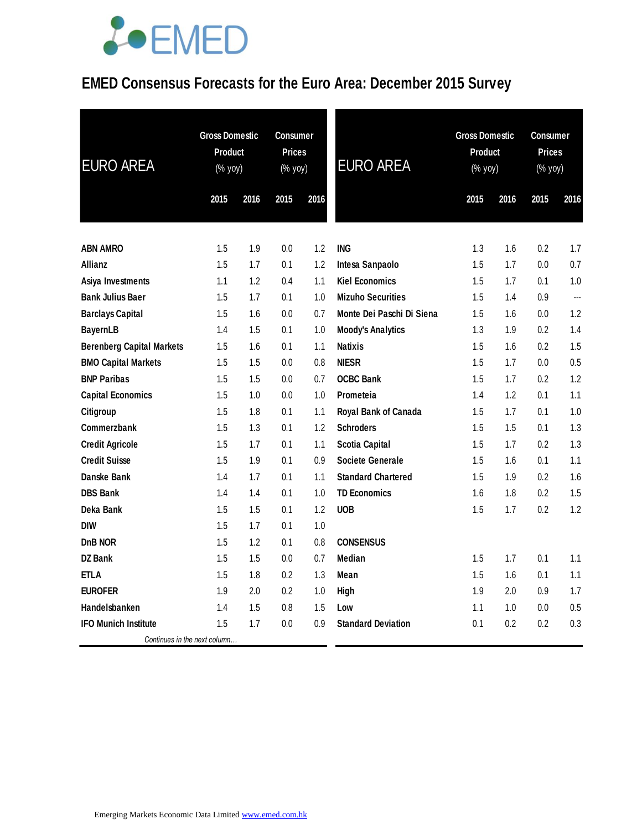### **EMED Consensus Forecasts for the Euro Area: December 2015 Survey**

| <b>EURO AREA</b>                 | <b>Gross Domestic</b><br>Product<br>$(\sqrt{9}$ yoy) |      | <b>Consumer</b><br><b>Prices</b><br>(% yoy) |      | <b>EURO AREA</b>          | <b>Gross Domestic</b><br>Product<br>(% yoy) |      | <b>Consumer</b><br><b>Prices</b><br>(% yoy) |      |
|----------------------------------|------------------------------------------------------|------|---------------------------------------------|------|---------------------------|---------------------------------------------|------|---------------------------------------------|------|
|                                  | 2015                                                 | 2016 | 2015                                        | 2016 |                           | 2015                                        | 2016 | 2015                                        | 2016 |
| <b>ABN AMRO</b>                  | 1.5                                                  | 1.9  | 0.0                                         | 1.2  | <b>ING</b>                | 1.3                                         | 1.6  | 0.2                                         | 1.7  |
| <b>Allianz</b>                   | 1.5                                                  | 1.7  | 0.1                                         | 1.2  | Intesa Sanpaolo           | 1.5                                         | 1.7  | 0.0                                         | 0.7  |
| Asiya Investments                | 1.1                                                  | 1.2  | 0.4                                         | 1.1  | <b>Kiel Economics</b>     | 1.5                                         | 1.7  | 0.1                                         | 1.0  |
| <b>Bank Julius Baer</b>          | 1.5                                                  | 1.7  | 0.1                                         | 1.0  | <b>Mizuho Securities</b>  | 1.5                                         | 1.4  | 0.9                                         | ---  |
| <b>Barclays Capital</b>          | 1.5                                                  | 1.6  | 0.0                                         | 0.7  | Monte Dei Paschi Di Siena | 1.5                                         | 1.6  | 0.0                                         | 1.2  |
| <b>BayernLB</b>                  | 1.4                                                  | 1.5  | 0.1                                         | 1.0  | <b>Moody's Analytics</b>  | 1.3                                         | 1.9  | 0.2                                         | 1.4  |
| <b>Berenberg Capital Markets</b> | 1.5                                                  | 1.6  | 0.1                                         | 1.1  | <b>Natixis</b>            | 1.5                                         | 1.6  | 0.2                                         | 1.5  |
| <b>BMO Capital Markets</b>       | 1.5                                                  | 1.5  | 0.0                                         | 0.8  | <b>NIESR</b>              | 1.5                                         | 1.7  | 0.0                                         | 0.5  |
| <b>BNP Paribas</b>               | 1.5                                                  | 1.5  | 0.0                                         | 0.7  | <b>OCBC Bank</b>          | 1.5                                         | 1.7  | $0.2\,$                                     | 1.2  |
| <b>Capital Economics</b>         | 1.5                                                  | 1.0  | 0.0                                         | 1.0  | Prometeia                 | 1.4                                         | 1.2  | 0.1                                         | 1.1  |
| Citigroup                        | 1.5                                                  | 1.8  | 0.1                                         | 1.1  | Royal Bank of Canada      | 1.5                                         | 1.7  | 0.1                                         | 1.0  |
| Commerzbank                      | 1.5                                                  | 1.3  | 0.1                                         | 1.2  | <b>Schroders</b>          | 1.5                                         | 1.5  | 0.1                                         | 1.3  |
| <b>Credit Agricole</b>           | 1.5                                                  | 1.7  | 0.1                                         | 1.1  | <b>Scotia Capital</b>     | 1.5                                         | 1.7  | 0.2                                         | 1.3  |
| <b>Credit Suisse</b>             | 1.5                                                  | 1.9  | 0.1                                         | 0.9  | Societe Generale          | 1.5                                         | 1.6  | 0.1                                         | 1.1  |
| Danske Bank                      | 1.4                                                  | 1.7  | 0.1                                         | 1.1  | <b>Standard Chartered</b> | 1.5                                         | 1.9  | 0.2                                         | 1.6  |
| <b>DBS Bank</b>                  | 1.4                                                  | 1.4  | 0.1                                         | 1.0  | <b>TD Economics</b>       | 1.6                                         | 1.8  | 0.2                                         | 1.5  |
| Deka Bank                        | 1.5                                                  | 1.5  | 0.1                                         | 1.2  | <b>UOB</b>                | 1.5                                         | 1.7  | $0.2\,$                                     | 1.2  |
| <b>DIW</b>                       | 1.5                                                  | 1.7  | 0.1                                         | 1.0  |                           |                                             |      |                                             |      |
| DnB NOR                          | 1.5                                                  | 1.2  | 0.1                                         | 0.8  | <b>CONSENSUS</b>          |                                             |      |                                             |      |
| DZ Bank                          | 1.5                                                  | 1.5  | 0.0                                         | 0.7  | Median                    | 1.5                                         | 1.7  | 0.1                                         | 1.1  |
| <b>ETLA</b>                      | 1.5                                                  | 1.8  | 0.2                                         | 1.3  | Mean                      | 1.5                                         | 1.6  | 0.1                                         | 1.1  |
| <b>EUROFER</b>                   | 1.9                                                  | 2.0  | 0.2                                         | 1.0  | High                      | 1.9                                         | 2.0  | 0.9                                         | 1.7  |
| Handelsbanken                    | 1.4                                                  | 1.5  | 0.8                                         | 1.5  | Low                       | 1.1                                         | 1.0  | 0.0                                         | 0.5  |
| <b>IFO Munich Institute</b>      | 1.5                                                  | 1.7  | 0.0                                         | 0.9  | <b>Standard Deviation</b> | 0.1                                         | 0.2  | $0.2\,$                                     | 0.3  |
| Continues in the next column     |                                                      |      |                                             |      |                           |                                             |      |                                             |      |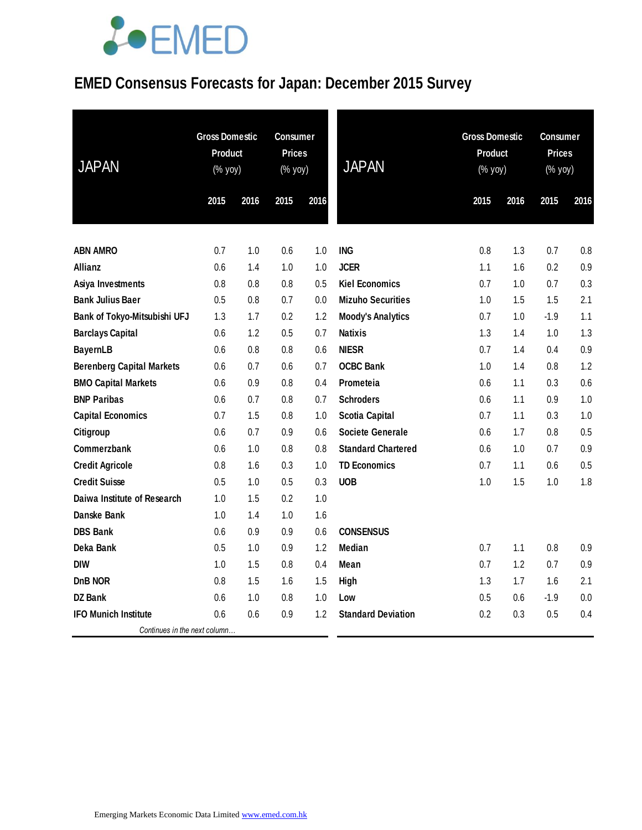### **EMED Consensus Forecasts for Japan: December 2015 Survey**

| <b>JAPAN</b>                     | <b>Gross Domestic</b><br><b>Product</b><br>$(% \mathsf{Y}^{\prime }\mathsf{Y}^{\prime }\mathsf{Y}^{\prime })$ |      | <b>Consumer</b><br><b>Prices</b><br>(% yoy) |      | <b>JAPAN</b>              | <b>Gross Domestic</b><br>Product<br>(% yoy) |      | <b>Consumer</b><br><b>Prices</b><br>(% yoy) |      |
|----------------------------------|---------------------------------------------------------------------------------------------------------------|------|---------------------------------------------|------|---------------------------|---------------------------------------------|------|---------------------------------------------|------|
|                                  | 2015                                                                                                          | 2016 | 2015                                        | 2016 |                           | 2015                                        | 2016 | 2015                                        | 2016 |
|                                  |                                                                                                               |      |                                             |      |                           |                                             |      |                                             |      |
| <b>ABN AMRO</b>                  | 0.7                                                                                                           | 1.0  | 0.6                                         | 1.0  | <b>ING</b>                | 0.8                                         | 1.3  | 0.7                                         | 0.8  |
| Allianz                          | 0.6                                                                                                           | 1.4  | 1.0                                         | 1.0  | <b>JCER</b>               | 1.1                                         | 1.6  | 0.2                                         | 0.9  |
| Asiya Investments                | 0.8                                                                                                           | 0.8  | 0.8                                         | 0.5  | <b>Kiel Economics</b>     | 0.7                                         | 1.0  | 0.7                                         | 0.3  |
| <b>Bank Julius Baer</b>          | 0.5                                                                                                           | 0.8  | 0.7                                         | 0.0  | <b>Mizuho Securities</b>  | 1.0                                         | 1.5  | 1.5                                         | 2.1  |
| Bank of Tokyo-Mitsubishi UFJ     | 1.3                                                                                                           | 1.7  | 0.2                                         | 1.2  | <b>Moody's Analytics</b>  | 0.7                                         | 1.0  | $-1.9$                                      | 1.1  |
| <b>Barclays Capital</b>          | 0.6                                                                                                           | 1.2  | 0.5                                         | 0.7  | <b>Natixis</b>            | 1.3                                         | 1.4  | 1.0                                         | 1.3  |
| <b>BayernLB</b>                  | 0.6                                                                                                           | 0.8  | 0.8                                         | 0.6  | <b>NIESR</b>              | 0.7                                         | 1.4  | 0.4                                         | 0.9  |
| <b>Berenberg Capital Markets</b> | 0.6                                                                                                           | 0.7  | 0.6                                         | 0.7  | <b>OCBC Bank</b>          | 1.0                                         | 1.4  | 0.8                                         | 1.2  |
| <b>BMO Capital Markets</b>       | 0.6                                                                                                           | 0.9  | 0.8                                         | 0.4  | Prometeia                 | 0.6                                         | 1.1  | 0.3                                         | 0.6  |
| <b>BNP Paribas</b>               | 0.6                                                                                                           | 0.7  | 0.8                                         | 0.7  | <b>Schroders</b>          | 0.6                                         | 1.1  | 0.9                                         | 1.0  |
| <b>Capital Economics</b>         | 0.7                                                                                                           | 1.5  | 0.8                                         | 1.0  | <b>Scotia Capital</b>     | 0.7                                         | 1.1  | 0.3                                         | 1.0  |
| Citigroup                        | 0.6                                                                                                           | 0.7  | 0.9                                         | 0.6  | Societe Generale          | 0.6                                         | 1.7  | 0.8                                         | 0.5  |
| Commerzbank                      | 0.6                                                                                                           | 1.0  | 0.8                                         | 0.8  | <b>Standard Chartered</b> | 0.6                                         | 1.0  | 0.7                                         | 0.9  |
| <b>Credit Agricole</b>           | 0.8                                                                                                           | 1.6  | 0.3                                         | 1.0  | <b>TD Economics</b>       | 0.7                                         | 1.1  | 0.6                                         | 0.5  |
| <b>Credit Suisse</b>             | 0.5                                                                                                           | 1.0  | 0.5                                         | 0.3  | <b>UOB</b>                | 1.0                                         | 1.5  | 1.0                                         | 1.8  |
| Daiwa Institute of Research      | 1.0                                                                                                           | 1.5  | 0.2                                         | 1.0  |                           |                                             |      |                                             |      |
| Danske Bank                      | 1.0                                                                                                           | 1.4  | 1.0                                         | 1.6  |                           |                                             |      |                                             |      |
| <b>DBS Bank</b>                  | 0.6                                                                                                           | 0.9  | 0.9                                         | 0.6  | <b>CONSENSUS</b>          |                                             |      |                                             |      |
| Deka Bank                        | 0.5                                                                                                           | 1.0  | 0.9                                         | 1.2  | <b>Median</b>             | 0.7                                         | 1.1  | 0.8                                         | 0.9  |
| <b>DIW</b>                       | 1.0                                                                                                           | 1.5  | 0.8                                         | 0.4  | Mean                      | 0.7                                         | 1.2  | 0.7                                         | 0.9  |
| DnB NOR                          | 0.8                                                                                                           | 1.5  | 1.6                                         | 1.5  | High                      | 1.3                                         | 1.7  | 1.6                                         | 2.1  |
| DZ Bank                          | 0.6                                                                                                           | 1.0  | 0.8                                         | 1.0  | Low                       | 0.5                                         | 0.6  | $-1.9$                                      | 0.0  |
| <b>IFO Munich Institute</b>      | 0.6                                                                                                           | 0.6  | 0.9                                         | 1.2  | <b>Standard Deviation</b> | 0.2                                         | 0.3  | 0.5                                         | 0.4  |
| Continues in the next column     |                                                                                                               |      |                                             |      |                           |                                             |      |                                             |      |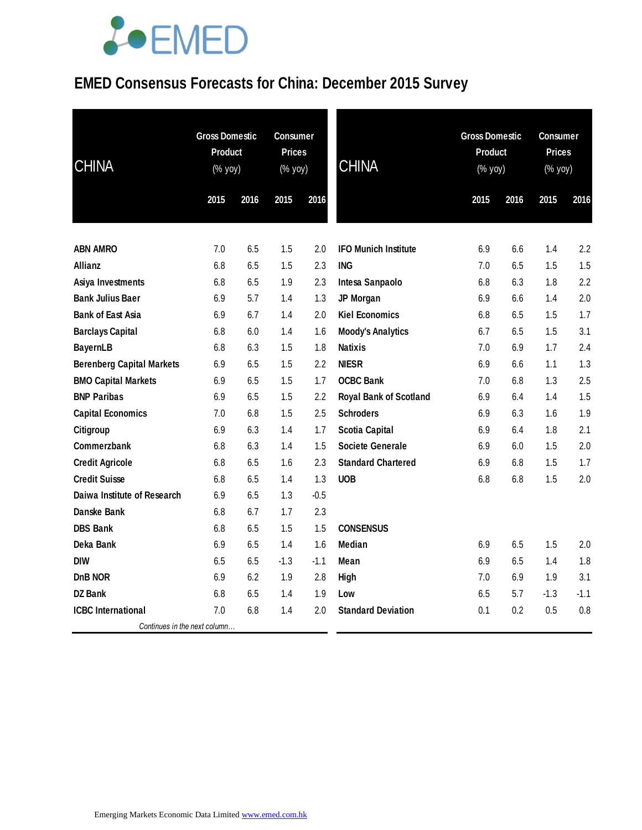### **EMED Consensus Forecasts for China: December 2015 Survey**

| <b>CHINA</b>                     | <b>Gross Domestic</b><br><b>Product</b><br>(% yoy) |      | <b>Consumer</b><br><b>Prices</b><br>(% yoy) |        | <b>CHINA</b>                  |      | <b>Gross Domestic</b><br>Product<br>$(% \mathsf{Y}^{\prime }\mathsf{Y}^{\prime }\mathsf{Y}^{\prime })$ |        | <b>Consumer</b><br><b>Prices</b><br>(% yoy) |  |
|----------------------------------|----------------------------------------------------|------|---------------------------------------------|--------|-------------------------------|------|--------------------------------------------------------------------------------------------------------|--------|---------------------------------------------|--|
|                                  | 2015                                               | 2016 | 2015                                        | 2016   |                               | 2015 | 2016                                                                                                   | 2015   | 2016                                        |  |
| <b>ABN AMRO</b>                  | 7.0                                                | 6.5  | 1.5                                         | 2.0    | <b>IFO Munich Institute</b>   | 6.9  | 6.6                                                                                                    | 1.4    | 2.2                                         |  |
| Allianz                          | 6.8                                                | 6.5  | 1.5                                         | 2.3    | <b>ING</b>                    | 7.0  | 6.5                                                                                                    | 1.5    | 1.5                                         |  |
| Asiya Investments                | 6.8                                                | 6.5  | 1.9                                         | 2.3    | Intesa Sanpaolo               | 6.8  | 6.3                                                                                                    | 1.8    | 2.2                                         |  |
| <b>Bank Julius Baer</b>          | 6.9                                                | 5.7  | 1.4                                         | 1.3    | JP Morgan                     | 6.9  | 6.6                                                                                                    | 1.4    | 2.0                                         |  |
| <b>Bank of East Asia</b>         | 6.9                                                | 6.7  | 1.4                                         | 2.0    | <b>Kiel Economics</b>         | 6.8  | 6.5                                                                                                    | 1.5    | 1.7                                         |  |
| <b>Barclays Capital</b>          | 6.8                                                | 6.0  | 1.4                                         | 1.6    | <b>Moody's Analytics</b>      | 6.7  | 6.5                                                                                                    | 1.5    | 3.1                                         |  |
| <b>BayernLB</b>                  | 6.8                                                | 6.3  | 1.5                                         | 1.8    | <b>Natixis</b>                | 7.0  | 6.9                                                                                                    | 1.7    | 2.4                                         |  |
| <b>Berenberg Capital Markets</b> | 6.9                                                | 6.5  | 1.5                                         | 2.2    | <b>NIESR</b>                  | 6.9  | 6.6                                                                                                    | 1.1    | 1.3                                         |  |
| <b>BMO Capital Markets</b>       | 6.9                                                | 6.5  | 1.5                                         | 1.7    | <b>OCBC Bank</b>              | 7.0  | 6.8                                                                                                    | 1.3    | 2.5                                         |  |
| <b>BNP Paribas</b>               | 6.9                                                | 6.5  | 1.5                                         | 2.2    | <b>Royal Bank of Scotland</b> | 6.9  | 6.4                                                                                                    | 1.4    | 1.5                                         |  |
| <b>Capital Economics</b>         | 7.0                                                | 6.8  | 1.5                                         | 2.5    | <b>Schroders</b>              | 6.9  | 6.3                                                                                                    | 1.6    | 1.9                                         |  |
| Citigroup                        | 6.9                                                | 6.3  | 1.4                                         | 1.7    | <b>Scotia Capital</b>         | 6.9  | 6.4                                                                                                    | 1.8    | 2.1                                         |  |
| Commerzbank                      | 6.8                                                | 6.3  | 1.4                                         | 1.5    | Societe Generale              | 6.9  | 6.0                                                                                                    | 1.5    | 2.0                                         |  |
| <b>Credit Agricole</b>           | 6.8                                                | 6.5  | 1.6                                         | 2.3    | <b>Standard Chartered</b>     | 6.9  | 6.8                                                                                                    | 1.5    | 1.7                                         |  |
| <b>Credit Suisse</b>             | 6.8                                                | 6.5  | 1.4                                         | 1.3    | <b>UOB</b>                    | 6.8  | 6.8                                                                                                    | 1.5    | 2.0                                         |  |
| Daiwa Institute of Research      | 6.9                                                | 6.5  | 1.3                                         | $-0.5$ |                               |      |                                                                                                        |        |                                             |  |
| Danske Bank                      | 6.8                                                | 6.7  | 1.7                                         | 2.3    |                               |      |                                                                                                        |        |                                             |  |
| <b>DBS Bank</b>                  | 6.8                                                | 6.5  | 1.5                                         | 1.5    | <b>CONSENSUS</b>              |      |                                                                                                        |        |                                             |  |
| Deka Bank                        | 6.9                                                | 6.5  | 1.4                                         | 1.6    | Median                        | 6.9  | 6.5                                                                                                    | 1.5    | 2.0                                         |  |
| <b>DIW</b>                       | 6.5                                                | 6.5  | $-1.3$                                      | $-1.1$ | Mean                          | 6.9  | 6.5                                                                                                    | 1.4    | 1.8                                         |  |
| DnB NOR                          | 6.9                                                | 6.2  | 1.9                                         | 2.8    | High                          | 7.0  | 6.9                                                                                                    | 1.9    | 3.1                                         |  |
| <b>DZ Bank</b>                   | 6.8                                                | 6.5  | 1.4                                         | 1.9    | Low                           | 6.5  | 5.7                                                                                                    | $-1.3$ | $-1.1$                                      |  |
| <b>ICBC</b> International        | 7.0                                                | 6.8  | 1.4                                         | 2.0    | <b>Standard Deviation</b>     | 0.1  | 0.2                                                                                                    | 0.5    | 0.8                                         |  |
| Continues in the next column     |                                                    |      |                                             |        |                               |      |                                                                                                        |        |                                             |  |